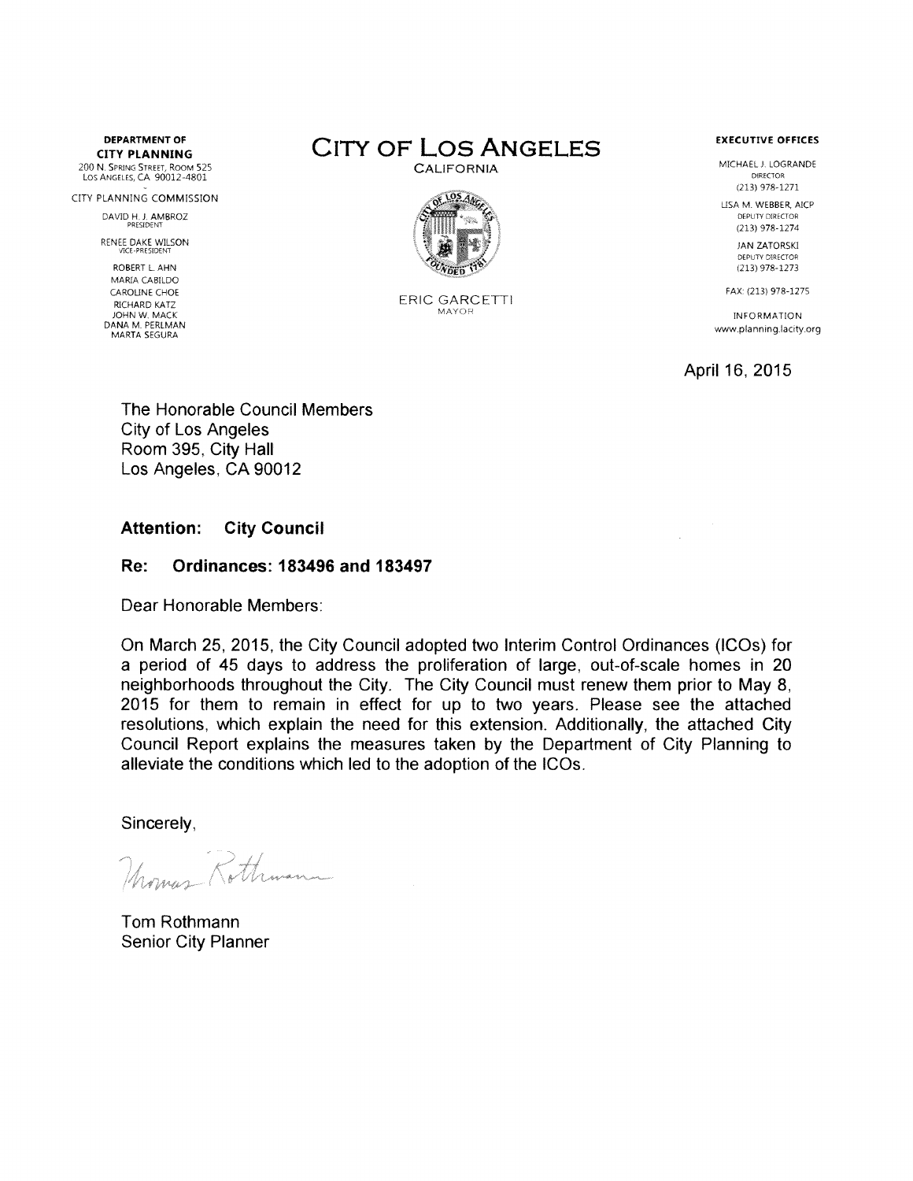**CITY PLANNING**

200 N. Spring Street, Room 525 Los Angeles, CA 90012-4801

CITY PLANNING COMMISSION DAVID H, *J.* AMBROZ PRESIDENT

RENEE DAKE WILSON VICE-PRESIDENT

ROBERT L AHN MARIA CABILDO CAROLINE CHOE RICHARD KATZ JOHN W. MACK DANA M. PERLMAN MARTA SEGURA





ERIC GARCETTI MAYOR

MICHAEL J. LOGRANDE DIRECTOR (213) 978-1271

LISA M. WEBBER, AICP DEPUTY DIRECTOR (213)978-1274

> JAN ZATORSKI DEPUTY DIRECTOR (213)978-1273

FAX: (213) 978-1275

INFORMATION [www.planning.ladty.org](http://www.planning.ladty.org)

April 16, 2015

The Honorable Council Members City of Los Angeles Room 395, City Hall Los Angeles, CA 90012

# **Attention: City Council**

## **Re: Ordinances: 183496 and 183497**

Dear Honorable Members:

On March 25, 2015, the City Council adopted two Interim Control Ordinances (ICOs) for a period of 45 days to address the proliferation of large, out-of-scale homes in 20 neighborhoods throughout the City. The City Council must renew them prior to May 8, 2015 for them to remain in effect for up to two years. Please see the attached resolutions, which explain the need for this extension. Additionally, the attached City Council Report explains the measures taken by the Department of City Planning to alleviate the conditions which led to the adoption of the ICOs.

Sincerely,

Momas Rothman

Tom Rothmann Senior City Planner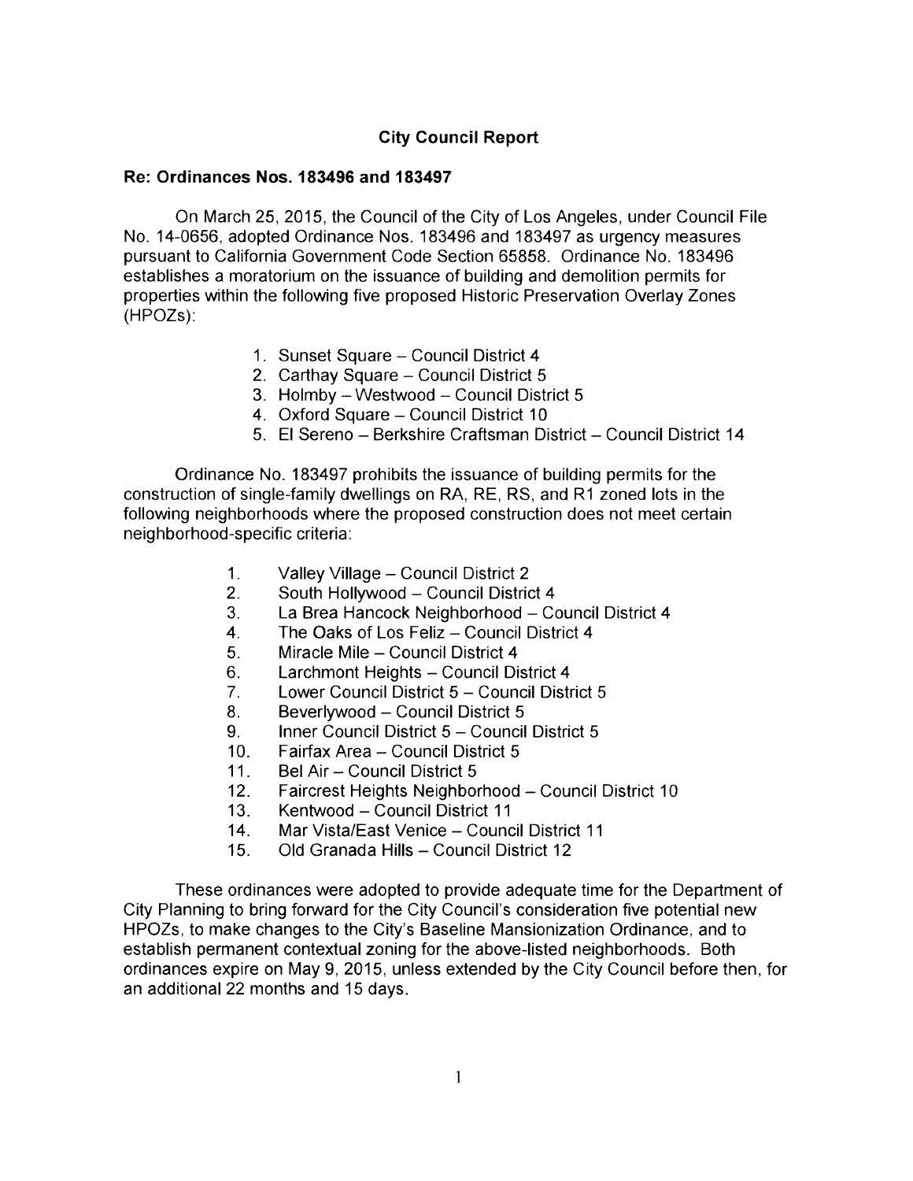# **City Council Report**

## **Re: Ordinances Nos. 183496 and 183497**

On March 25, 2015, the Council of the City of Los Angeles, under Council File No. 14-0656, adopted Ordinance Nos. 183496 and 183497 as urgency measures pursuant to California Government Code Section 65858. Ordinance No. 183496 establishes a moratorium on the issuance of building and demolition permits for properties within the following five proposed Historic Preservation Overlay Zones (HPOZs):

- 1. Sunset Square Council District 4
- 2. Carthay Square Council District 5
- 3. Holmby Westwood Council District 5
- 4. Oxford Square Council District 10
- 5. El Sereno Berkshire Craftsman District Council District 14

Ordinance No. 183497 prohibits the issuance of building permits for the construction of single-family dwellings on RA, RE, RS, and R1 zoned lots in the following neighborhoods where the proposed construction does not meet certain neighborhood-specific criteria:

- 1. Valley Village Council District 2<br>2. South Hollywood Council Distric
- 2. South Hollywood Council District 4<br>3. La Brea Hancock Neighborhood Co
- 3. La Brea Hancock Neighborhood Council District 4<br>4. The Oaks of Los Feliz Council District 4
- 4. The Oaks of Los Feliz Council District 4<br>5. Miracle Mile Council District 4
- 5. Miracle Mile Council District 4<br>6. Larchmont Heights Council Di
- 6. Larchmont Heights Council District 4<br>7. Lower Council District 5 Council Distr
- 7. Lower Council District 5 Council District 5<br>8. Beverlywood Council District 5
- 8. Beverlywood Council District 5<br>9. Inner Council District 5 Council
- 9. Inner Council District 5 Council District 5<br>10. Fairfax Area Council District 5
- 10. Fairfax Area Council District 5<br>11. Bel Air Council District 5
- 11. Bel Air Council District 5<br>12. Faircrest Heights Neighbo
- 12. Faircrest Heights Neighborhood Council District 10<br>13. Kentwood Council District 11
- 13. Kentwood Council District 11<br>14. Mar Vista/East Venice Counc
- 14. Mar Vista/East Venice Council District 11<br>15. Old Granada Hills Council District 12
- Old Granada Hills Council District 12

These ordinances were adopted to provide adequate time for the Department of City Planning to bring forward for the City Council's consideration five potential new HPOZs, to make changes to the City's Baseline Mansionization Ordinance, and to establish permanent contextual zoning for the above-listed neighborhoods. Both ordinances expire on May 9, 2015, unless extended by the City Council before then, for an additional 22 months and 15 days.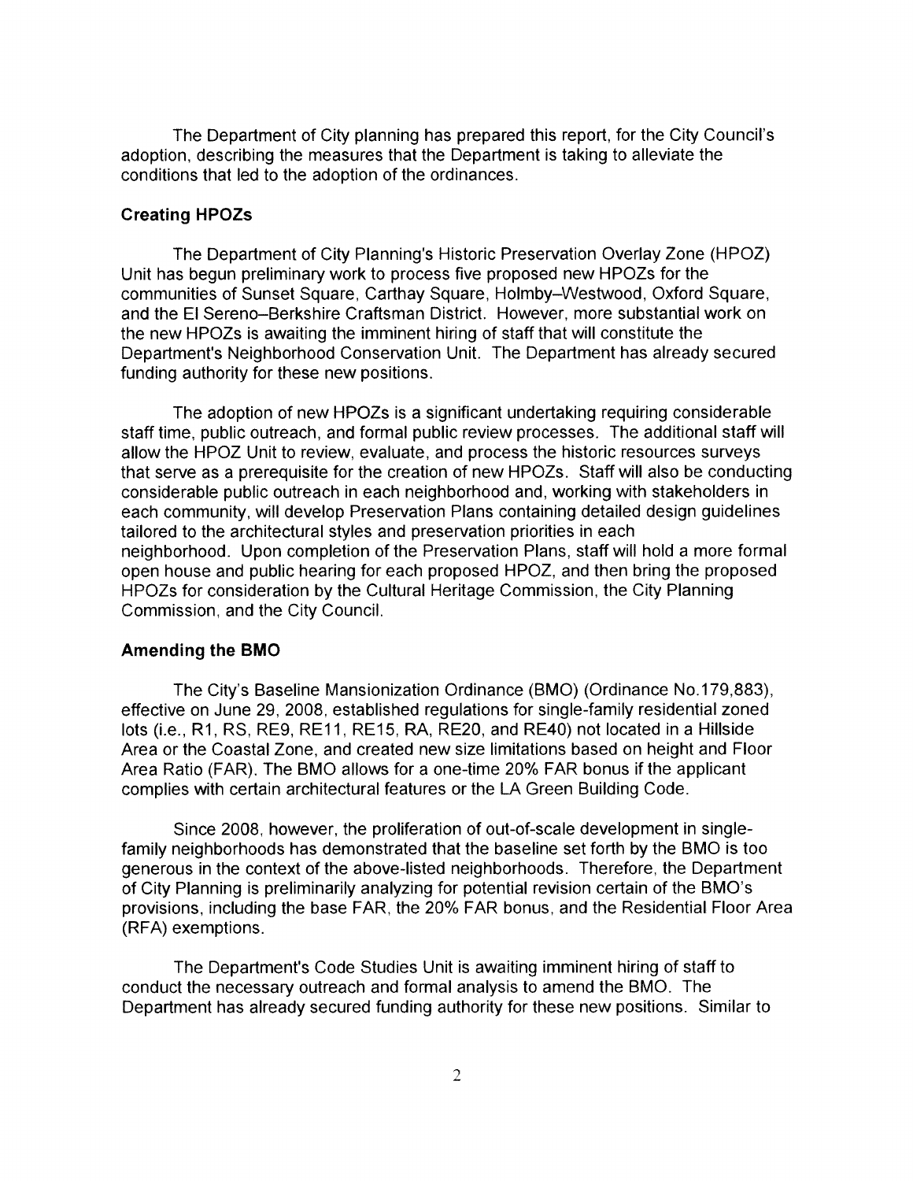The Department of City planning has prepared this report, for the City Council's adoption, describing the measures that the Department is taking to alleviate the conditions that led to the adoption of the ordinances.

### **Creating HPOZs**

The Department of City Planning's Historic Preservation Overlay Zone (HPOZ) Unit has begun preliminary work to process five proposed new HPOZs for the communities of Sunset Square, Carthay Square, Holmby-Westwood, Oxford Square, and the El Sereno-Berkshire Craftsman District. However, more substantial work on the new HPOZs is awaiting the imminent hiring of staff that will constitute the Department's Neighborhood Conservation Unit. The Department has already secured funding authority for these new positions.

The adoption of new HPOZs is a significant undertaking requiring considerable staff time, public outreach, and formal public review processes. The additional staff will allow the HPOZ Unit to review, evaluate, and process the historic resources surveys that serve as a prerequisite for the creation of new HPOZs. Staff will also be conducting considerable public outreach in each neighborhood and, working with stakeholders in each community, will develop Preservation Plans containing detailed design guidelines tailored to the architectural styles and preservation priorities in each neighborhood. Upon completion of the Preservation Plans, staff will hold a more formal open house and public hearing for each proposed HPOZ, and then bring the proposed HPOZs for consideration by the Cultural Heritage Commission, the City Planning Commission, and the City Council.

#### **Amending the BMO**

The City's Baseline Mansionization Ordinance (BMO) (Ordinance No.179,883), effective on June 29, 2008, established regulations for single-family residential zoned lots (i.e., R1, RS, RE9, RE11, RE15, RA, RE20, and RE40) not located in a Hillside Area or the Coastal Zone, and created new size limitations based on height and Floor Area Ratio (FAR). The BMO allows for a one-time 20% FAR bonus if the applicant complies with certain architectural features or the LA Green Building Code.

Since 2008, however, the proliferation of out-of-scale development in singlefamily neighborhoods has demonstrated that the baseline set forth by the BMO is too generous in the context of the above-listed neighborhoods. Therefore, the Department of City Planning is preliminarily analyzing for potential revision certain of the BMO's provisions, including the base FAR, the 20% FAR bonus, and the Residential Floor Area (RFA) exemptions.

The Department's Code Studies Unit is awaiting imminent hiring of staff to conduct the necessary outreach and formal analysis to amend the BMO. The Department has already secured funding authority for these new positions. Similar to